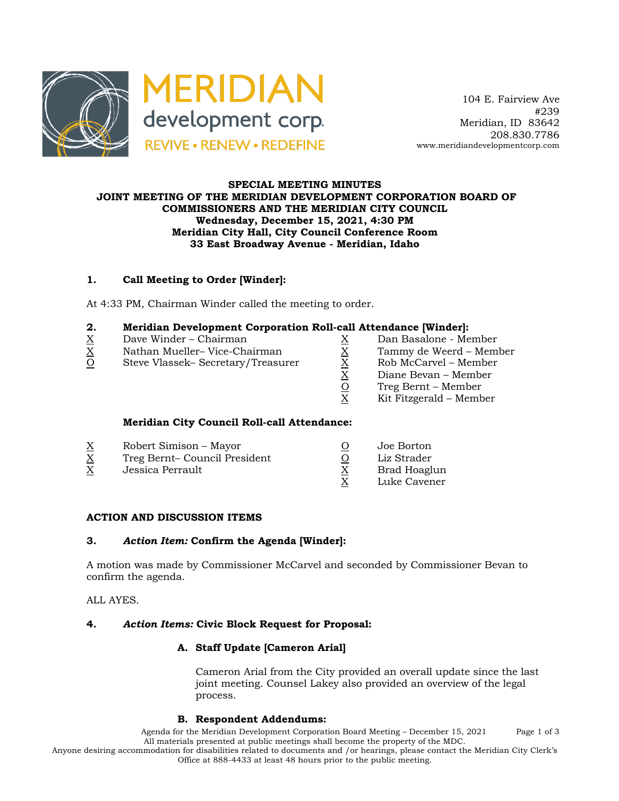

### **SPECIAL MEETING MINUTES JOINT MEETING OF THE MERIDIAN DEVELOPMENT CORPORATION BOARD OF COMMISSIONERS AND THE MERIDIAN CITY COUNCIL Wednesday, December 15, 2021, 4:30 PM Meridian City Hall, City Council Conference Room 33 East Broadway Avenue - Meridian, Idaho**

# **1. Call Meeting to Order [Winder]:**

At 4:33 PM, Chairman Winder called the meeting to order.

| 2. | Meridian Development Corporation Roll-call Attendance [Winder]: |  |  |  |
|----|-----------------------------------------------------------------|--|--|--|
|    |                                                                 |  |  |  |

- 
- $X = 0$  Nathan Mueller– Vice-Chairman  $X = 0$  Tammy de Weerd Member<br>
O Steve Vlassek– Secretary/Treasurer  $X = R$ ob McCarvel Member
- $\begin{array}{llllll} \underline{X} & \text{Dave Winder} \text{Chairman} & \underline{X} & \text{Dan Basalone Member} \\ \underline{X} & \text{Nathan Mueller} \text{Vice-Chairman} & \underline{X} & \text{Tammy de Weerd Membr} \\ \underline{O} & \text{Steve Vlassek} \text{Secretary/Treasure} & \underline{X} & \text{Rob McCarvel Member} \\ \underline{X} & \text{Diane Bevan Member} & \underline{C} & \text{Treg Bernt Member} \\ \underline{X} & \text{Kit Fitzgerald Member} & \end{array}$ O Steve Vlassek– Secretary/Treasurer
	-
	-
	-
	- Diane Bevan Member
	- Treg Bernt Member
	- Kit Fitzgerald Member

## **Meridian City Council Roll-call Attendance:**

| <u>Х</u><br>$\overline{\mathrm{X}}$ | Robert Simison – Mayor<br>Treg Bernt-Council President | Joe Borton<br>Liz Strader |
|-------------------------------------|--------------------------------------------------------|---------------------------|
| $\underline{X}$                     | Jessica Perrault                                       | Brad Hoaglun              |
|                                     |                                                        | Luke Cavener              |

## **ACTION AND DISCUSSION ITEMS**

#### **3.** *Action Item:* **Confirm the Agenda [Winder]:**

A motion was made by Commissioner McCarvel and seconded by Commissioner Bevan to confirm the agenda.

ALL AYES.

## **4.** *Action Items:* **Civic Block Request for Proposal:**

## **A. Staff Update [Cameron Arial]**

Cameron Arial from the City provided an overall update since the last joint meeting. Counsel Lakey also provided an overview of the legal process.

#### **B. Respondent Addendums:**

Agenda for the Meridian Development Corporation Board Meeting – December 15, 2021 Page 1 of 3 All materials presented at public meetings shall become the property of the MDC.

Anyone desiring accommodation for disabilities related to documents and /or hearings, please contact the Meridian City Clerk's Office at 888-4433 at least 48 hours prior to the public meeting.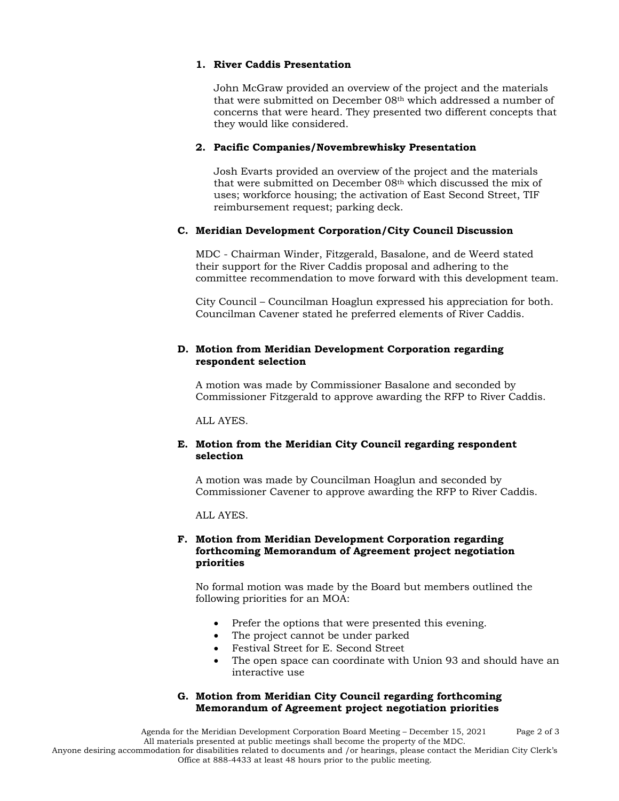### **1. River Caddis Presentation**

John McGraw provided an overview of the project and the materials that were submitted on December 08<sup>th</sup> which addressed a number of concerns that were heard. They presented two different concepts that they would like considered.

#### **2. Pacific Companies/Novembrewhisky Presentation**

Josh Evarts provided an overview of the project and the materials that were submitted on December 08th which discussed the mix of uses; workforce housing; the activation of East Second Street, TIF reimbursement request; parking deck.

## **C. Meridian Development Corporation/City Council Discussion**

MDC - Chairman Winder, Fitzgerald, Basalone, and de Weerd stated their support for the River Caddis proposal and adhering to the committee recommendation to move forward with this development team.

City Council – Councilman Hoaglun expressed his appreciation for both. Councilman Cavener stated he preferred elements of River Caddis.

### **D. Motion from Meridian Development Corporation regarding respondent selection**

A motion was made by Commissioner Basalone and seconded by Commissioner Fitzgerald to approve awarding the RFP to River Caddis.

ALL AYES.

### **E. Motion from the Meridian City Council regarding respondent selection**

A motion was made by Councilman Hoaglun and seconded by Commissioner Cavener to approve awarding the RFP to River Caddis.

ALL AYES.

#### **F. Motion from Meridian Development Corporation regarding forthcoming Memorandum of Agreement project negotiation priorities**

No formal motion was made by the Board but members outlined the following priorities for an MOA:

- Prefer the options that were presented this evening.
- The project cannot be under parked
- Festival Street for E. Second Street
- The open space can coordinate with Union 93 and should have an interactive use

### **G. Motion from Meridian City Council regarding forthcoming Memorandum of Agreement project negotiation priorities**

Agenda for the Meridian Development Corporation Board Meeting – December 15, 2021 Page 2 of 3 All materials presented at public meetings shall become the property of the MDC. Anyone desiring accommodation for disabilities related to documents and /or hearings, please contact the Meridian City Clerk's Office at 888-4433 at least 48 hours prior to the public meeting.